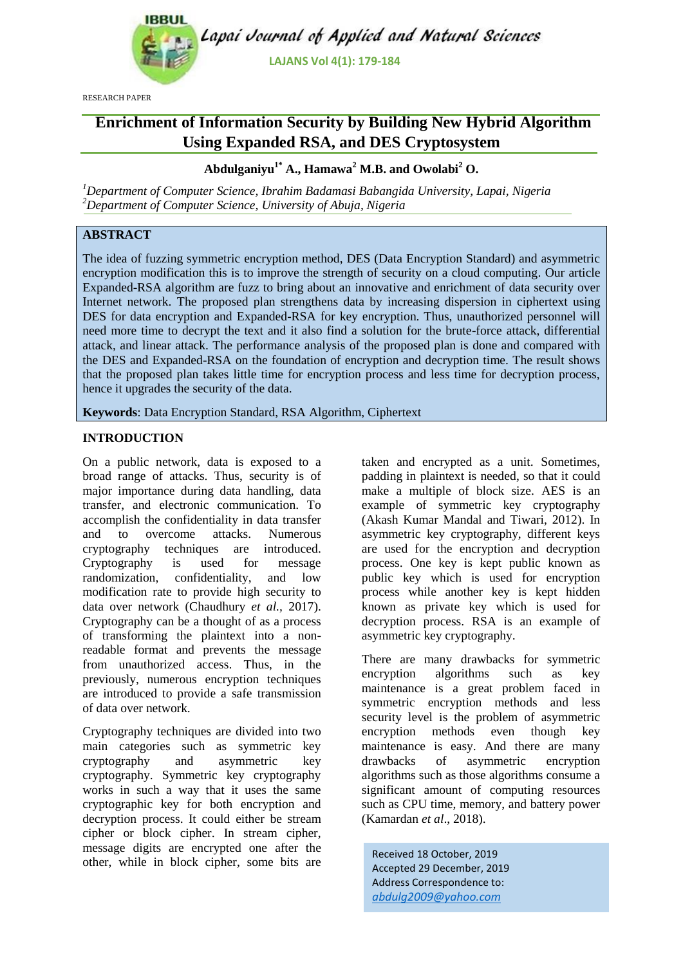

RESEARCH PAPER

# **Enrichment of Information Security by Building New Hybrid Algorithm Using Expanded RSA, and DES Cryptosystem**

# **Abdulganiyu1\* A., Hamawa<sup>2</sup> M.B. and Owolabi<sup>2</sup> O.**

*<sup>1</sup>Department of Computer Science, Ibrahim Badamasi Babangida University, Lapai, Nigeria <sup>2</sup>Department of Computer Science, University of Abuja, Nigeria*

# **ABSTRACT**

The idea of fuzzing symmetric encryption method, DES (Data Encryption Standard) and asymmetric encryption modification this is to improve the strength of security on a cloud computing. Our article Expanded-RSA algorithm are fuzz to bring about an innovative and enrichment of data security over Internet network. The proposed plan strengthens data by increasing dispersion in ciphertext using DES for data encryption and Expanded-RSA for key encryption. Thus, unauthorized personnel will need more time to decrypt the text and it also find a solution for the brute-force attack, differential attack, and linear attack. The performance analysis of the proposed plan is done and compared with the DES and Expanded-RSA on the foundation of encryption and decryption time. The result shows that the proposed plan takes little time for encryption process and less time for decryption process, hence it upgrades the security of the data.

**Keywords**: Data Encryption Standard, RSA Algorithm, Ciphertext

# **INTRODUCTION**

On a public network, data is exposed to a broad range of attacks. Thus, security is of major importance during data handling, data transfer, and electronic communication. To accomplish the confidentiality in data transfer and to overcome attacks. Numerous cryptography techniques are introduced. Cryptography is used for message randomization, confidentiality, and low modification rate to provide high security to data over network [\(Chaudhury](#page-4-0) *et al.,* 2017). Cryptography can be a thought of as a process of transforming the plaintext into a nonreadable format and prevents the message from unauthorized access. Thus, in the previously, numerous encryption techniques are introduced to provide a safe transmission of data over network.

Cryptography techniques are divided into two main categories such as symmetric key cryptography and asymmetric key cryptography. Symmetric key cryptography works in such a way that it uses the same cryptographic key for both encryption and decryption process. It could either be stream cipher or block cipher. In stream cipher, message digits are encrypted one after the other, while in block cipher, some bits are

taken and encrypted as a unit. Sometimes, padding in plaintext is needed, so that it could make a multiple of block size. AES is an example of symmetric key cryptography [\(Akash Kumar Mandal and](#page-4-1) Tiwari, 2012). In asymmetric key cryptography, different keys are used for the encryption and decryption process. One key is kept public known as public key which is used for encryption process while another key is kept hidden known as private key which is used for decryption process. RSA is an example of asymmetric key cryptography.

There are many drawbacks for symmetric encryption algorithms such as key maintenance is a great problem faced in symmetric encryption methods and less security level is the problem of asymmetric encryption methods even though key maintenance is easy. And there are many drawbacks of asymmetric encryption algorithms such as those algorithms consume a significant amount of computing resources such as CPU time, memory, and battery power [\(Kamardan](#page-5-0) *et al*., 2018).

Received 18 October, 2019 Accepted 29 December, 2019 Address Correspondence to: *abdulg2009@yahoo.com*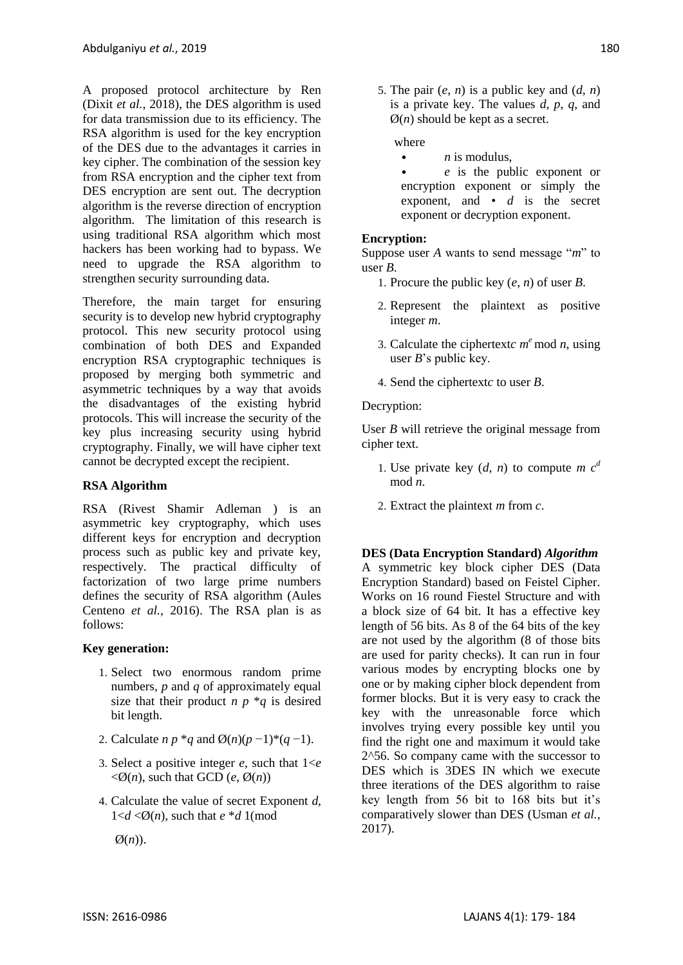A proposed protocol architecture by Ren (Dixit *et al.*[, 2018\)](#page-5-1), the DES algorithm is used for data transmission due to its efficiency. The RSA algorithm is used for the key encryption of the DES due to the advantages it carries in key cipher. The combination of the session key from RSA encryption and the cipher text from DES encryption are sent out. The decryption algorithm is the reverse direction of encryption algorithm. The limitation of this research is using traditional RSA algorithm which most hackers has been working had to bypass. We need to upgrade the RSA algorithm to strengthen security surrounding data.

Therefore, the main target for ensuring security is to develop new hybrid cryptography protocol. This new security protocol using combination of both DES and Expanded encryption RSA cryptographic techniques is proposed by merging both symmetric and asymmetric techniques by a way that avoids the disadvantages of the existing hybrid protocols. This will increase the security of the key plus increasing security using hybrid cryptography. Finally, we will have cipher text cannot be decrypted except the recipient.

## **RSA Algorithm**

RSA (Rivest Shamir Adleman ) is an asymmetric key cryptography, which uses different keys for encryption and decryption process such as public key and private key, respectively. The practical difficulty of factorization of two large prime numbers defines the security of RSA algorithm [\(Aules](#page-4-2)  [Centeno](#page-4-2) *et al.,* 2016). The RSA plan is as follows:

# **Key generation:**

- 1. Select two enormous random prime numbers, *p* and *q* of approximately equal size that their product  $n p * q$  is desired bit length.
- 2. Calculate *n p* \**q* and Ø(*n*)(*p* −1)\*(*q* −1).
- 3. Select a positive integer *e*, such that 1<*e*   $\langle \emptyset(n), \text{ such that GCD } (e, \emptyset(n)) \rangle$
- 4. Calculate the value of secret Exponent *d*,  $1 < d < \emptyset$ (*n*), such that  $e * d$  1(mod

Ø(*n*)).

5. The pair  $(e, n)$  is a public key and  $(d, n)$ is a private key. The values *d*, *p*, *q*, and  $\varnothing$ (*n*) should be kept as a secret.

#### where

- $\bullet$  *n* is modulus.
- *e* is the public exponent or encryption exponent or simply the exponent, and • *d* is the secret exponent or decryption exponent.

#### **Encryption:**

Suppose user *A* wants to send message "*m*" to user *B*.

- 1. Procure the public key (*e*, *n*) of user *B*.
- 2. Represent the plaintext as positive integer *m*.
- 3. Calculate the ciphertextc  $m^e$  mod  $n$ , using user *B*"s public key.
- 4. Send the ciphertext*c* to user *B*.

#### Decryption:

User *B* will retrieve the original message from cipher text.

- 1. Use private key  $(d, n)$  to compute *m*  $c<sup>d</sup>$ mod *n*.
- 2. Extract the plaintext *m* from *c*.

**DES (Data Encryption Standard)** *Algorithm* A symmetric key block cipher DES (Data Encryption Standard) based on Feistel Cipher. Works on 16 round Fiestel Structure and with a block size of 64 bit. It has a effective key length of 56 bits. As 8 of the 64 bits of the key are not used by the algorithm (8 of those bits are used for parity checks). It can run in four various modes by encrypting blocks one by one or by making cipher block dependent from former blocks. But it is very easy to crack the key with the unreasonable force which involves trying every possible key until you find the right one and maximum it would take 2^56. So company came with the successor to DES which is 3DES IN which we execute three iterations of the DES algorithm to raise key length from 56 bit to 168 bits but it's comparatively slower than DES [\(Usman](#page-5-2) *et al.,* [2017\)](#page-5-2).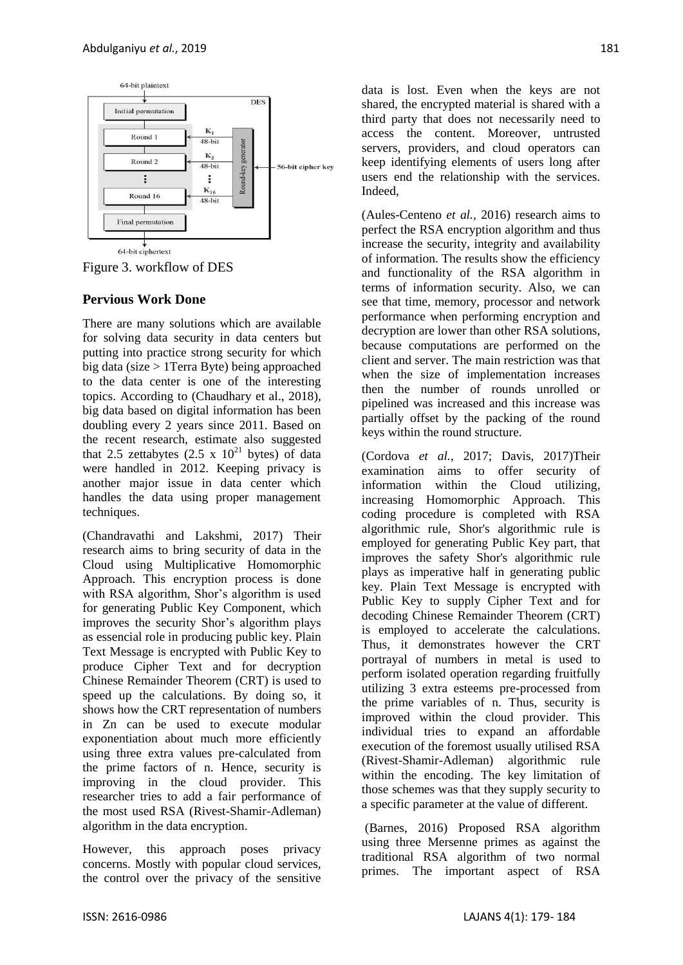

Figure 3. workflow of DES

# **Pervious Work Done**

There are many solutions which are available for solving data security in data centers but putting into practice strong security for which big data (size > 1Terra Byte) being approached to the data center is one of the interesting topics. According to [\(Chaudhary et al., 2018\)](#page-4-3), big data based on digital information has been doubling every 2 years since 2011. Based on the recent research, estimate also suggested that 2.5 zettabytes  $(2.5 \times 10^{21}$  bytes) of data were handled in 2012. Keeping privacy is another major issue in data center which handles the data using proper management techniques.

[\(Chandravathi and](#page-4-4) Lakshmi, 2017) Their research aims to bring security of data in the Cloud using Multiplicative Homomorphic Approach. This encryption process is done with RSA algorithm, Shor's algorithm is used for generating Public Key Component, which improves the security Shor"s algorithm plays as essencial role in producing public key. Plain Text Message is encrypted with Public Key to produce Cipher Text and for decryption Chinese Remainder Theorem (CRT) is used to speed up the calculations. By doing so, it shows how the CRT representation of numbers in Zn can be used to execute modular exponentiation about much more efficiently using three extra values pre-calculated from the prime factors of n. Hence, security is improving in the cloud provider. This researcher tries to add a fair performance of the most used RSA (Rivest-Shamir-Adleman) algorithm in the data encryption.

However, this approach poses privacy concerns. Mostly with popular cloud services, the control over the privacy of the sensitive

data is lost. Even when the keys are not shared, the encrypted material is shared with a third party that does not necessarily need to access the content. Moreover, untrusted servers, providers, and cloud operators can keep identifying elements of users long after users end the relationship with the services. Indeed,

[\(Aules-Centeno](#page-4-2) *et al.,* 2016) research aims to perfect the RSA encryption algorithm and thus increase the security, integrity and availability of information. The results show the efficiency and functionality of the RSA algorithm in terms of information security. Also, we can see that time, memory, processor and network performance when performing encryption and decryption are lower than other RSA solutions, because computations are performed on the client and server. The main restriction was that when the size of implementation increases then the number of rounds unrolled or pipelined was increased and this increase was partially offset by the packing of the round keys within the round structure.

[\(Cordova](#page-5-3) *et al.*, 2017; [Davis, 2017\)](#page-5-4)Their examination aims to offer security of information within the Cloud utilizing, increasing Homomorphic Approach. This coding procedure is completed with RSA algorithmic rule, Shor's algorithmic rule is employed for generating Public Key part, that improves the safety Shor's algorithmic rule plays as imperative half in generating public key. Plain Text Message is encrypted with Public Key to supply Cipher Text and for decoding Chinese Remainder Theorem (CRT) is employed to accelerate the calculations. Thus, it demonstrates however the CRT portrayal of numbers in metal is used to perform isolated operation regarding fruitfully utilizing 3 extra esteems pre-processed from the prime variables of n. Thus, security is improved within the cloud provider. This individual tries to expand an affordable execution of the foremost usually utilised RSA (Rivest-Shamir-Adleman) algorithmic rule within the encoding. The key limitation of those schemes was that they supply security to a specific parameter at the value of different.

[\(Barnes, 2016\)](#page-4-5) Proposed RSA algorithm using three Mersenne primes as against the traditional RSA algorithm of two normal primes. The important aspect of RSA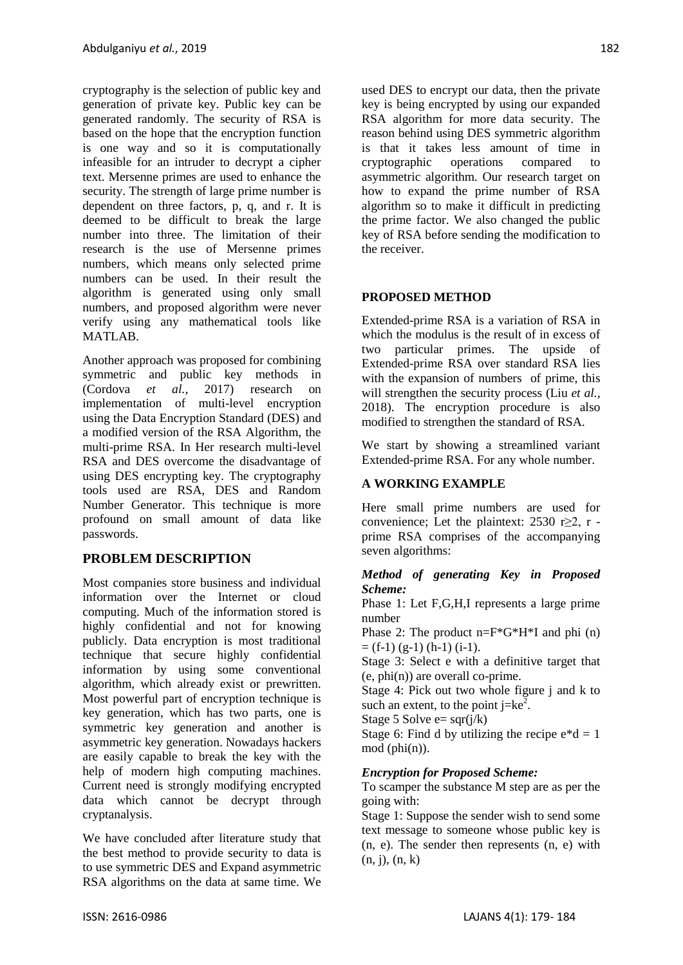cryptography is the selection of public key and generation of private key. Public key can be generated randomly. The security of RSA is based on the hope that the encryption function is one way and so it is computationally infeasible for an intruder to decrypt a cipher text. Mersenne primes are used to enhance the security. The strength of large prime number is dependent on three factors, p, q, and r. It is deemed to be difficult to break the large number into three. The limitation of their research is the use of Mersenne primes numbers, which means only selected prime numbers can be used. In their result the algorithm is generated using only small numbers, and proposed algorithm were never verify using any mathematical tools like MATLAB.

Another approach was proposed for combining symmetric and public key methods in [\(Cordova](#page-5-3) *et al.,* 2017) research on implementation of multi-level encryption using the Data Encryption Standard (DES) and a modified version of the RSA Algorithm, the multi-prime RSA. In Her research multi-level RSA and DES overcome the disadvantage of using DES encrypting key. The cryptography tools used are RSA, DES and Random Number Generator. This technique is more profound on small amount of data like passwords.

# **PROBLEM DESCRIPTION**

Most companies store business and individual information over the Internet or cloud computing. Much of the information stored is highly confidential and not for knowing publicly. Data encryption is most traditional technique that secure highly confidential information by using some conventional algorithm, which already exist or prewritten. Most powerful part of encryption technique is key generation, which has two parts, one is symmetric key generation and another is asymmetric key generation. Nowadays hackers are easily capable to break the key with the help of modern high computing machines. Current need is strongly modifying encrypted data which cannot be decrypt through cryptanalysis.

We have concluded after literature study that the best method to provide security to data is to use symmetric DES and Expand asymmetric RSA algorithms on the data at same time. We

used DES to encrypt our data, then the private key is being encrypted by using our expanded RSA algorithm for more data security. The reason behind using DES symmetric algorithm is that it takes less amount of time in cryptographic operations compared to asymmetric algorithm. Our research target on how to expand the prime number of RSA algorithm so to make it difficult in predicting the prime factor. We also changed the public key of RSA before sending the modification to the receiver.

### **PROPOSED METHOD**

Extended-prime RSA is a variation of RSA in which the modulus is the result of in excess of two particular primes. The upside of Extended-prime RSA over standard RSA lies with the expansion of numbers of prime, this will strengthen the security process [\(Liu](#page-5-5) *et al.,* [2018\)](#page-5-5). The encryption procedure is also modified to strengthen the standard of RSA.

We start by showing a streamlined variant Extended-prime RSA. For any whole number.

# **A WORKING EXAMPLE**

Here small prime numbers are used for convenience; Let the plaintext:  $2530$  r $\geq 2$ , r prime RSA comprises of the accompanying seven algorithms:

#### *Method of generating Key in Proposed Scheme:*

Phase 1: Let F,G,H,I represents a large prime number

Phase 2: The product  $n = F*G*H*I$  and phi (n)  $=$  (f-1) (g-1) (h-1) (i-1).

Stage 3: Select e with a definitive target that  $(e, phi(n))$  are overall co-prime.

Stage 4: Pick out two whole figure j and k to such an extent, to the point  $j=ke^2$ .

Stage 5 Solve  $e=$  sqr( $i/k$ )

Stage 6: Find d by utilizing the recipe  $e^*d = 1$ mod (phi(n)).

#### *Encryption for Proposed Scheme:*

To scamper the substance M step are as per the going with:

Stage 1: Suppose the sender wish to send some text message to someone whose public key is (n, e). The sender then represents (n, e) with (n, j), (n, k)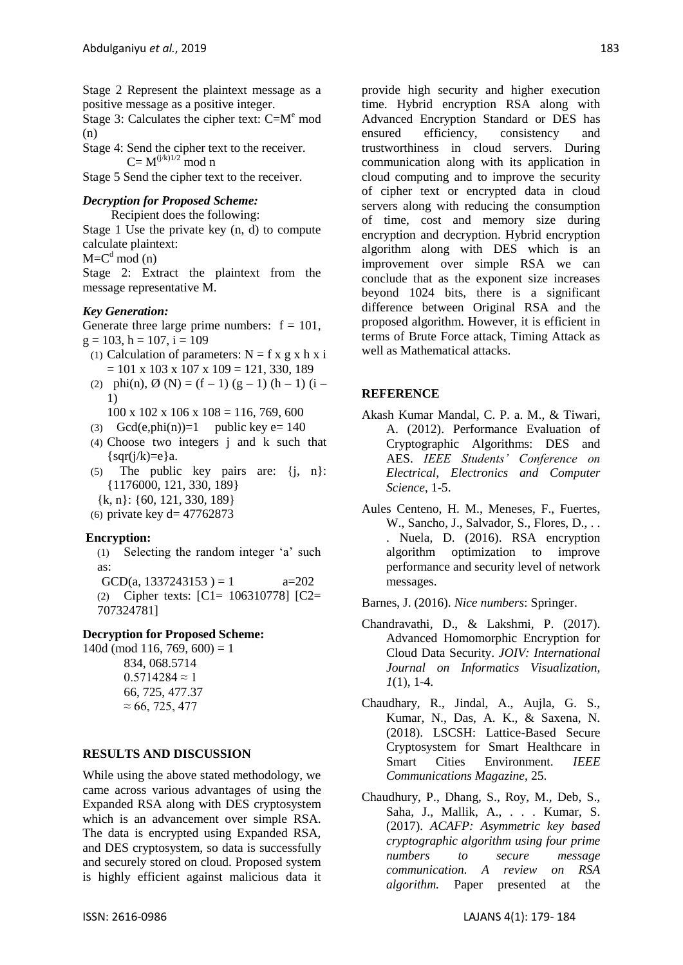Stage 2 Represent the plaintext message as a positive message as a positive integer.

Stage 3: Calculates the cipher text:  $C=M<sup>e</sup>$  mod (n)

Stage 4: Send the cipher text to the receiver.  $C = M^{(j/k)1/2}$  mod n

Stage 5 Send the cipher text to the receiver.

### *Decryption for Proposed Scheme:*

 Recipient does the following: Stage 1 Use the private key (n, d) to compute calculate plaintext:

 $M = C<sup>d</sup> \mod(n)$ 

Stage 2: Extract the plaintext from the message representative M.

### *Key Generation:*

Generate three large prime numbers:  $f = 101$ ,  $g = 103$ ,  $h = 107$ ,  $i = 109$ 

- (1) Calculation of parameters:  $N = f x g x h x i$  $= 101$  x 103 x 107 x 109 = 121, 330, 189
- (2) phi(n),  $\emptyset$  (N) = (f 1) (g 1) (h 1) (i 1)

 $100 \times 102 \times 106 \times 108 = 116, 769, 600$ 

- (3) Gcd(e,phi(n))=1 public key e=  $140$
- (4) Choose two integers j and k such that  $\{ \text{sqr}(j/k)=e \}$ a.
- (5) The public key pairs are: {j, n}: {1176000, 121, 330, 189}
- {k, n}: {60, 121, 330, 189}

(6) private key d=  $47762873$ 

#### **Encryption:**

(1) Selecting the random integer "a" such as:

GCD(a, 1337243153) = 1  $a=202$ (2) Cipher texts: [C1= 106310778] [C2= 707324781]

# **Decryption for Proposed Scheme:**

 $140d \pmod{116, 769, 600} = 1$ 834, 068.5714  $0.5714284 \approx 1$ 66, 725, 477.37  $\approx 66, 725, 477$ 

#### **RESULTS AND DISCUSSION**

While using the above stated methodology, we came across various advantages of using the Expanded RSA along with DES cryptosystem which is an advancement over simple RSA. The data is encrypted using Expanded RSA, and DES cryptosystem, so data is successfully and securely stored on cloud. Proposed system is highly efficient against malicious data it provide high security and higher execution time. Hybrid encryption RSA along with Advanced Encryption Standard or DES has ensured efficiency, consistency and trustworthiness in cloud servers. During communication along with its application in cloud computing and to improve the security of cipher text or encrypted data in cloud servers along with reducing the consumption of time, cost and memory size during encryption and decryption. Hybrid encryption algorithm along with DES which is an improvement over simple RSA we can conclude that as the exponent size increases beyond 1024 bits, there is a significant difference between Original RSA and the proposed algorithm. However, it is efficient in terms of Brute Force attack, Timing Attack as well as Mathematical attacks.

#### **REFERENCE**

- <span id="page-4-1"></span>Akash Kumar Mandal, C. P. a. M., & Tiwari, A. (2012). Performance Evaluation of Cryptographic Algorithms: DES and AES. *IEEE Students' Conference on Electrical, Electronics and Computer Science*, 1-5.
- <span id="page-4-2"></span>Aules Centeno, H. M., Meneses, F., Fuertes, W., Sancho, J., Salvador, S., Flores, D., .. . Nuela, D. (2016). RSA encryption algorithm optimization to improve performance and security level of network messages.

<span id="page-4-5"></span>Barnes, J. (2016). *Nice numbers*: Springer.

- <span id="page-4-4"></span>Chandravathi, D., & Lakshmi, P. (2017). Advanced Homomorphic Encryption for Cloud Data Security. *JOIV: International Journal on Informatics Visualization, 1*(1), 1-4.
- <span id="page-4-3"></span>Chaudhary, R., Jindal, A., Aujla, G. S., Kumar, N., Das, A. K., & Saxena, N. (2018). LSCSH: Lattice-Based Secure Cryptosystem for Smart Healthcare in Smart Cities Environment. *IEEE Communications Magazine*, 25.
- <span id="page-4-0"></span>Chaudhury, P., Dhang, S., Roy, M., Deb, S., Saha, J., Mallik, A., . . . Kumar, S. (2017). *ACAFP: Asymmetric key based cryptographic algorithm using four prime numbers to secure message communication. A review on RSA algorithm.* Paper presented at the